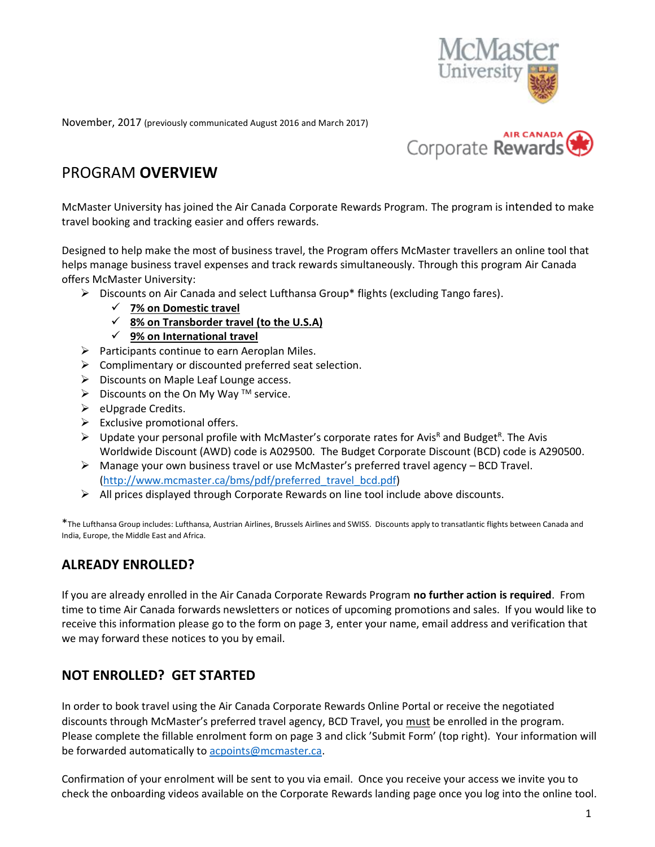

November, 2017 (previously communicated August 2016 and March 2017)



## PROGRAM **OVERVIEW**

McMaster University has joined the Air Canada Corporate Rewards Program. The program is intended to make travel booking and tracking easier and offers rewards.

Designed to help make the most of business travel, the Program offers McMaster travellers an online tool that helps manage business travel expenses and track rewards simultaneously. Through this program Air Canada offers McMaster University:

- ➢ Discounts on Air Canada and select Lufthansa Group\* flights (excluding Tango fares).
	- ✓ **7% on Domestic travel**
	- ✓ **8% on Transborder travel (to the U.S.A)**
	- ✓ **9% on International travel**
- $\triangleright$  Participants continue to earn Aeroplan Miles.
- ➢ Complimentary or discounted preferred seat selection.
- ➢ Discounts on Maple Leaf Lounge access.
- $\triangleright$  Discounts on the On My Way <sup>TM</sup> service.
- ➢ eUpgrade Credits.
- $\triangleright$  Exclusive promotional offers.
- $\triangleright$  Update your personal profile with McMaster's corporate rates for Avis<sup>R</sup> and Budget<sup>R</sup>. The Avis Worldwide Discount (AWD) code is A029500. The Budget Corporate Discount (BCD) code is A290500.
- $\triangleright$  Manage your own business travel or use McMaster's preferred travel agency BCD Travel. [\(http://www.mcmaster.ca/bms/pdf/preferred\\_travel\\_bcd.pdf\)](http://www.mcmaster.ca/bms/pdf/preferred_travel_bcd.pdf)
- $\triangleright$  All prices displayed through Corporate Rewards on line tool include above discounts.

\*The Lufthansa Group includes: Lufthansa, Austrian Airlines, Brussels Airlines and SWISS. Discounts apply to transatlantic flights between Canada and India, Europe, the Middle East and Africa.

### **ALREADY ENROLLED?**

If you are already enrolled in the Air Canada Corporate Rewards Program **no further action is required**. From time to time Air Canada forwards newsletters or notices of upcoming promotions and sales. If you would like to receive this information please go to the form on page 3, enter your name, email address and verification that we may forward these notices to you by email.

#### **NOT ENROLLED? GET STARTED**

In order to book travel using the Air Canada Corporate Rewards Online Portal or receive the negotiated discounts through McMaster's preferred travel agency, BCD Travel, you must be enrolled in the program. Please complete the fillable enrolment form on page 3 and click 'Submit Form' (top right). Your information will be forwarded automatically to acpoints@mcmaster.ca.

Confirmation of your enrolment will be sent to you via email. Once you receive your access we invite you to check the onboarding videos available on the Corporate Rewards landing page once you log into the online tool.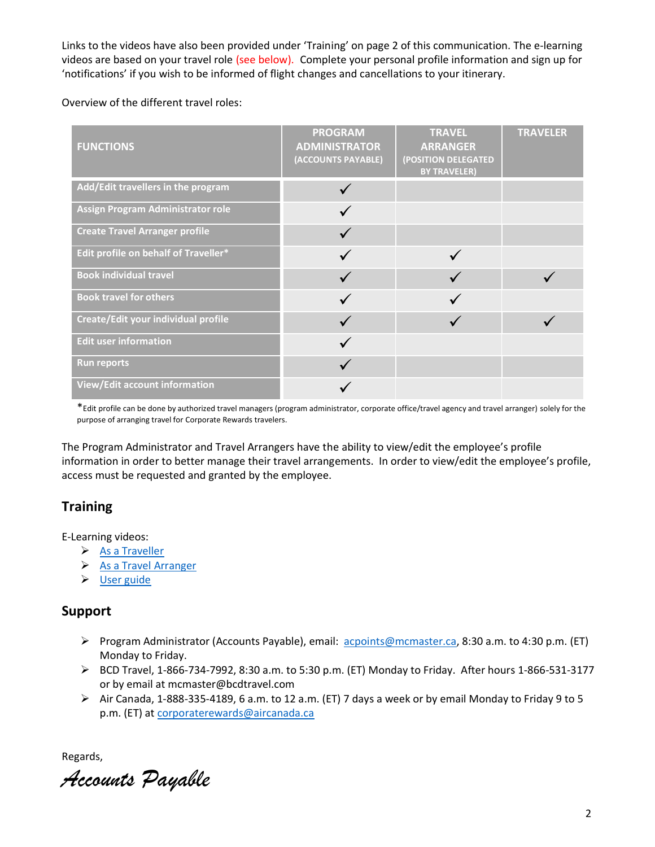Links to the videos have also been provided under 'Training' on page 2 of this communication. The e-learning videos are based on your travel role (see below). Complete your personal profile information and sign up for 'notifications' if you wish to be informed of flight changes and cancellations to your itinerary.

Overview of the different travel roles:

| <b>FUNCTIONS</b>                      | <b>PROGRAM</b><br><b>ADMINISTRATOR</b><br>(ACCOUNTS PAYABLE) | <b>TRAVEL</b><br><b>ARRANGER</b><br>(POSITION DELEGATED<br><b>BY TRAVELER)</b> | <b>TRAVELER</b> |
|---------------------------------------|--------------------------------------------------------------|--------------------------------------------------------------------------------|-----------------|
| Add/Edit travellers in the program    |                                                              |                                                                                |                 |
| Assign Program Administrator role     |                                                              |                                                                                |                 |
| <b>Create Travel Arranger profile</b> |                                                              |                                                                                |                 |
| Edit profile on behalf of Traveller*  |                                                              |                                                                                |                 |
| <b>Book individual travel</b>         |                                                              |                                                                                |                 |
| <b>Book travel for others</b>         |                                                              |                                                                                |                 |
| Create/Edit your individual profile   |                                                              |                                                                                |                 |
| <b>Edit user information</b>          |                                                              |                                                                                |                 |
| <b>Run reports</b>                    |                                                              |                                                                                |                 |
| <b>View/Edit account information</b>  |                                                              |                                                                                |                 |

\*Edit profile can be done by authorized travel managers (program administrator, corporate office/travel agency and travel arranger) solely for the purpose of arranging travel for Corporate Rewards travelers.

The Program Administrator and Travel Arrangers have the ability to view/edit the employee's profile information in order to better manage their travel arrangements. In order to view/edit the employee's profile, access must be requested and granted by the employee.

### **Training**

E-Learning videos:

- ➢ [As a Traveller](https://www.youtube.com/watch?v=Dag7UB2yS5Q)
- ➢ [As a Travel Arranger](https://www.youtube.com/watch?v=nTo9JgXkSxc)
- ➢ [User guide](https://www.aircanada.com/en/business/rewards/documents/User_Manual.pdf)

#### **Support**

- ➢ Program Administrator (Accounts Payable), email: [acpoints@mcmaster.ca,](mailto:acpoints@mcmaster.ca) 8:30 a.m. to 4:30 p.m. (ET) Monday to Friday.
- ➢ BCD Travel, 1-866-734-7992, 8:30 a.m. to 5:30 p.m. (ET) Monday to Friday. After hours 1-866-531-3177 or by email at mcmaster@bcdtravel.com
- ➢ Air Canada, 1-888-335-4189, 6 a.m. to 12 a.m. (ET) 7 days a week or by email Monday to Friday 9 to 5 p.m. (ET) at [corporaterewards@aircanada.ca](mailto:corporaterewards@aircanada.ca)

Regards,

*Accounts Payable*